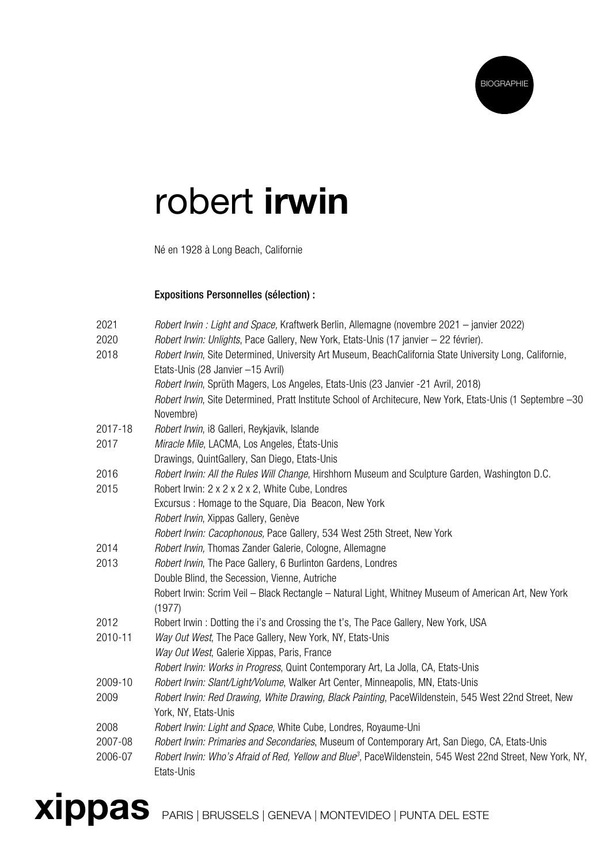

## robert irwin

Né en 1928 à Long Beach, Californie

## Expositions Personnelles (sélection) :

| 2021    | Robert Irwin: Light and Space, Kraftwerk Berlin, Allemagne (novembre 2021 – janvier 2022)                                                     |
|---------|-----------------------------------------------------------------------------------------------------------------------------------------------|
| 2020    | Robert Irwin: Unlights, Pace Gallery, New York, Etats-Unis (17 janvier - 22 février).                                                         |
| 2018    | Robert Irwin, Site Determined, University Art Museum, BeachCalifornia State University Long, Californie,<br>Etats-Unis (28 Janvier -15 Avril) |
|         | Robert Irwin, Sprüth Magers, Los Angeles, Etats-Unis (23 Janvier -21 Avril, 2018)                                                             |
|         | Robert Irwin, Site Determined, Pratt Institute School of Architecure, New York, Etats-Unis (1 Septembre -30                                   |
|         | Novembre)                                                                                                                                     |
| 2017-18 | Robert Irwin, i8 Galleri, Reykjavik, Islande                                                                                                  |
| 2017    | Miracle Mile, LACMA, Los Angeles, États-Unis                                                                                                  |
|         | Drawings, QuintGallery, San Diego, Etats-Unis                                                                                                 |
| 2016    | Robert Irwin: All the Rules Will Change, Hirshhorn Museum and Sculpture Garden, Washington D.C.                                               |
| 2015    | Robert Irwin: 2 x 2 x 2 x 2, White Cube, Londres                                                                                              |
|         | Excursus: Homage to the Square, Dia Beacon, New York                                                                                          |
|         | Robert Irwin, Xippas Gallery, Genève                                                                                                          |
|         | Robert Irwin: Cacophonous, Pace Gallery, 534 West 25th Street, New York                                                                       |
| 2014    | Robert Irwin, Thomas Zander Galerie, Cologne, Allemagne                                                                                       |
| 2013    | Robert Irwin, The Pace Gallery, 6 Burlinton Gardens, Londres                                                                                  |
|         | Double Blind, the Secession, Vienne, Autriche                                                                                                 |
|         | Robert Irwin: Scrim Veil - Black Rectangle - Natural Light, Whitney Museum of American Art, New York<br>(1977)                                |
| 2012    | Robert Irwin: Dotting the i's and Crossing the t's, The Pace Gallery, New York, USA                                                           |
| 2010-11 | Way Out West, The Pace Gallery, New York, NY, Etats-Unis                                                                                      |
|         | Way Out West, Galerie Xippas, Paris, France                                                                                                   |
|         | Robert Irwin: Works in Progress, Quint Contemporary Art, La Jolla, CA, Etats-Unis                                                             |
| 2009-10 | Robert Irwin: Slant/Light/Volume, Walker Art Center, Minneapolis, MN, Etats-Unis                                                              |
| 2009    | Robert Irwin: Red Drawing, White Drawing, Black Painting, PaceWildenstein, 545 West 22nd Street, New                                          |
|         | York, NY, Etats-Unis                                                                                                                          |
| 2008    | Robert Irwin: Light and Space, White Cube, Londres, Royaume-Uni                                                                               |
| 2007-08 | Robert Irwin: Primaries and Secondaries, Museum of Contemporary Art, San Diego, CA, Etats-Unis                                                |
| 2006-07 | Robert Irwin: Who's Afraid of Red, Yellow and Blue <sup>3</sup> , PaceWildenstein, 545 West 22nd Street, New York, NY,<br>Etats-Unis          |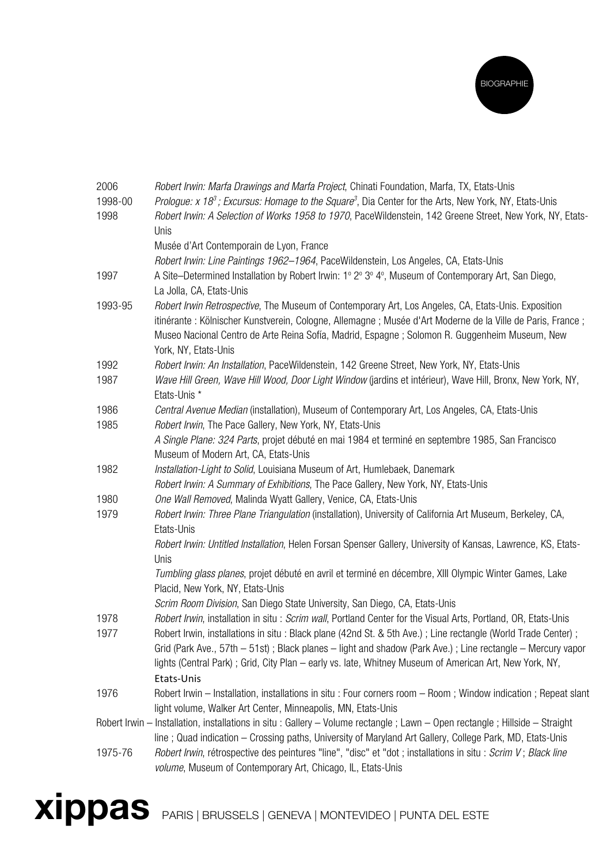

| 2006    | Robert Irwin: Marfa Drawings and Marfa Project, Chinati Foundation, Marfa, TX, Etats-Unis                                     |
|---------|-------------------------------------------------------------------------------------------------------------------------------|
| 1998-00 | Prologue: x 18 <sup>3</sup> ; Excursus: Homage to the Square <sup>3</sup> , Dia Center for the Arts, New York, NY, Etats-Unis |
| 1998    | Robert Irwin: A Selection of Works 1958 to 1970, PaceWildenstein, 142 Greene Street, New York, NY, Etats-                     |
|         | Unis                                                                                                                          |
|         | Musée d'Art Contemporain de Lyon, France                                                                                      |
|         | Robert Irwin: Line Paintings 1962-1964, PaceWildenstein, Los Angeles, CA, Etats-Unis                                          |
| 1997    | A Site-Determined Installation by Robert Irwin: 1º 2º 3º 4º, Museum of Contemporary Art, San Diego,                           |
|         | La Jolla, CA, Etats-Unis                                                                                                      |
| 1993-95 | Robert Irwin Retrospective, The Museum of Contemporary Art, Los Angeles, CA, Etats-Unis. Exposition                           |
|         | itinérante : Kölnischer Kunstverein, Cologne, Allemagne ; Musée d'Art Moderne de la Ville de Paris, France ;                  |
|         | Museo Nacional Centro de Arte Reina Sofía, Madrid, Espagne; Solomon R. Guggenheim Museum, New                                 |
|         | York, NY, Etats-Unis                                                                                                          |
| 1992    | Robert Irwin: An Installation, PaceWildenstein, 142 Greene Street, New York, NY, Etats-Unis                                   |
| 1987    | Wave Hill Green, Wave Hill Wood, Door Light Window (jardins et intérieur), Wave Hill, Bronx, New York, NY,                    |
|         | Etats-Unis *                                                                                                                  |
| 1986    | Central Avenue Median (installation), Museum of Contemporary Art, Los Angeles, CA, Etats-Unis                                 |
| 1985    | Robert Irwin, The Pace Gallery, New York, NY, Etats-Unis                                                                      |
|         | A Single Plane: 324 Parts, projet débuté en mai 1984 et terminé en septembre 1985, San Francisco                              |
|         | Museum of Modern Art, CA, Etats-Unis                                                                                          |
| 1982    | Installation-Light to Solid, Louisiana Museum of Art, Humlebaek, Danemark                                                     |
|         | Robert Irwin: A Summary of Exhibitions, The Pace Gallery, New York, NY, Etats-Unis                                            |
| 1980    | One Wall Removed, Malinda Wyatt Gallery, Venice, CA, Etats-Unis                                                               |
| 1979    | Robert Irwin: Three Plane Triangulation (installation), University of California Art Museum, Berkeley, CA,                    |
|         | Etats-Unis                                                                                                                    |
|         | Robert Irwin: Untitled Installation, Helen Forsan Spenser Gallery, University of Kansas, Lawrence, KS, Etats-                 |
|         | Unis                                                                                                                          |
|         | Tumbling glass planes, projet débuté en avril et terminé en décembre, XIII Olympic Winter Games, Lake                         |
|         | Placid, New York, NY, Etats-Unis                                                                                              |
|         | Scrim Room Division, San Diego State University, San Diego, CA, Etats-Unis                                                    |
| 1978    | Robert Irwin, installation in situ: Scrim wall, Portland Center for the Visual Arts, Portland, OR, Etats-Unis                 |
| 1977    | Robert Irwin, installations in situ : Black plane (42nd St. & 5th Ave.); Line rectangle (World Trade Center);                 |
|         | Grid (Park Ave., 57th – 51st); Black planes – light and shadow (Park Ave.); Line rectangle – Mercury vapor                    |
|         | lights (Central Park); Grid, City Plan - early vs. late, Whitney Museum of American Art, New York, NY,                        |
|         | Etats-Unis                                                                                                                    |
| 1976    | Robert Irwin – Installation, installations in situ : Four corners room – Room ; Window indication ; Repeat slant              |
|         | light volume, Walker Art Center, Minneapolis, MN, Etats-Unis                                                                  |
|         | Robert Irwin - Installation, installations in situ : Gallery - Volume rectangle ; Lawn - Open rectangle ; Hillside - Straight |
|         | line; Quad indication - Crossing paths, University of Maryland Art Gallery, College Park, MD, Etats-Unis                      |
| 1975-76 | Robert Irwin, rétrospective des peintures "line", "disc" et "dot ; installations in situ : Scrim V; Black line                |
|         | volume, Museum of Contemporary Art, Chicago, IL, Etats-Unis                                                                   |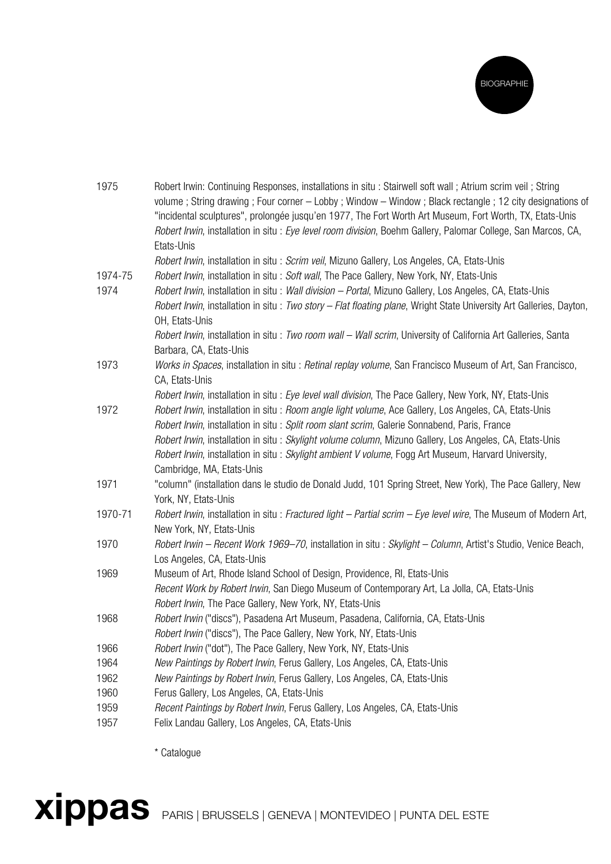

| 1975    | Robert Irwin: Continuing Responses, installations in situ: Stairwell soft wall; Atrium scrim veil; String<br>volume; String drawing; Four corner - Lobby; Window - Window; Black rectangle; 12 city designations of |
|---------|---------------------------------------------------------------------------------------------------------------------------------------------------------------------------------------------------------------------|
|         | "incidental sculptures", prolongée jusqu'en 1977, The Fort Worth Art Museum, Fort Worth, TX, Etats-Unis                                                                                                             |
|         | Robert Irwin, installation in situ : Eye level room division, Boehm Gallery, Palomar College, San Marcos, CA,                                                                                                       |
|         | Etats-Unis                                                                                                                                                                                                          |
|         | Robert Irwin, installation in situ : Scrim veil, Mizuno Gallery, Los Angeles, CA, Etats-Unis                                                                                                                        |
| 1974-75 | Robert Irwin, installation in situ : Soft wall, The Pace Gallery, New York, NY, Etats-Unis                                                                                                                          |
| 1974    | Robert Irwin, installation in situ : Wall division - Portal, Mizuno Gallery, Los Angeles, CA, Etats-Unis                                                                                                            |
|         | Robert Irwin, installation in situ: Two story - Flat floating plane, Wright State University Art Galleries, Dayton,<br>OH, Etats-Unis                                                                               |
|         | Robert Irwin, installation in situ : Two room wall - Wall scrim, University of California Art Galleries, Santa                                                                                                      |
|         | Barbara, CA, Etats-Unis                                                                                                                                                                                             |
| 1973    | Works in Spaces, installation in situ : Retinal replay volume, San Francisco Museum of Art, San Francisco,<br>CA, Etats-Unis                                                                                        |
|         | Robert Irwin, installation in situ : Eye level wall division, The Pace Gallery, New York, NY, Etats-Unis                                                                                                            |
| 1972    | Robert Irwin, installation in situ : Room angle light volume, Ace Gallery, Los Angeles, CA, Etats-Unis                                                                                                              |
|         | Robert Irwin, installation in situ : Split room slant scrim, Galerie Sonnabend, Paris, France                                                                                                                       |
|         | Robert Irwin, installation in situ : Skylight volume column, Mizuno Gallery, Los Angeles, CA, Etats-Unis                                                                                                            |
|         | Robert Irwin, installation in situ: Skylight ambient V volume, Fogg Art Museum, Harvard University,                                                                                                                 |
|         | Cambridge, MA, Etats-Unis                                                                                                                                                                                           |
| 1971    | "column" (installation dans le studio de Donald Judd, 101 Spring Street, New York), The Pace Gallery, New                                                                                                           |
|         | York, NY, Etats-Unis                                                                                                                                                                                                |
| 1970-71 | Robert Irwin, installation in situ: Fractured light - Partial scrim - Eye level wire, The Museum of Modern Art,<br>New York, NY, Etats-Unis                                                                         |
| 1970    | Robert Irwin - Recent Work 1969-70, installation in situ : Skylight - Column, Artist's Studio, Venice Beach,                                                                                                        |
|         | Los Angeles, CA, Etats-Unis                                                                                                                                                                                         |
| 1969    | Museum of Art, Rhode Island School of Design, Providence, RI, Etats-Unis                                                                                                                                            |
|         | Recent Work by Robert Irwin, San Diego Museum of Contemporary Art, La Jolla, CA, Etats-Unis                                                                                                                         |
|         | Robert Irwin, The Pace Gallery, New York, NY, Etats-Unis                                                                                                                                                            |
| 1968    | Robert Irwin ("discs"), Pasadena Art Museum, Pasadena, California, CA, Etats-Unis                                                                                                                                   |
|         | Robert Irwin ("discs"), The Pace Gallery, New York, NY, Etats-Unis                                                                                                                                                  |
| 1966    | Robert Irwin ("dot"), The Pace Gallery, New York, NY, Etats-Unis                                                                                                                                                    |
| 1964    | New Paintings by Robert Irwin, Ferus Gallery, Los Angeles, CA, Etats-Unis                                                                                                                                           |
| 1962    | New Paintings by Robert Irwin, Ferus Gallery, Los Angeles, CA, Etats-Unis                                                                                                                                           |
| 1960    | Ferus Gallery, Los Angeles, CA, Etats-Unis                                                                                                                                                                          |
| 1959    | Recent Paintings by Robert Irwin, Ferus Gallery, Los Angeles, CA, Etats-Unis                                                                                                                                        |
| 1957    | Felix Landau Gallery, Los Angeles, CA, Etats-Unis                                                                                                                                                                   |

\* Catalogue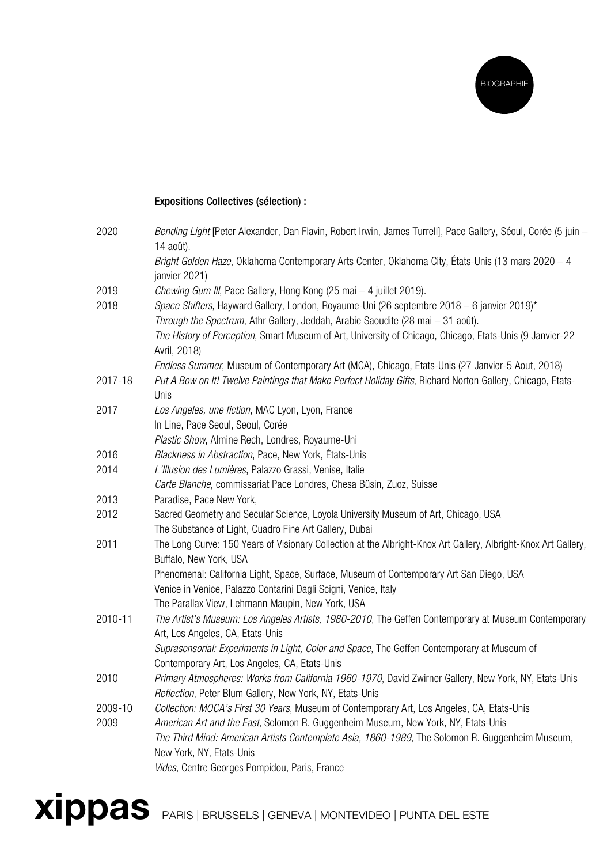

## Expositions Collectives (sélection) :

| 2020    | Bending Light [Peter Alexander, Dan Flavin, Robert Irwin, James Turrell], Pace Gallery, Séoul, Corée (5 juin -<br>14 août).              |
|---------|------------------------------------------------------------------------------------------------------------------------------------------|
|         | Bright Golden Haze, Oklahoma Contemporary Arts Center, Oklahoma City, États-Unis (13 mars 2020 – 4<br>janvier 2021)                      |
| 2019    | Chewing Gum III, Pace Gallery, Hong Kong (25 mai - 4 juillet 2019).                                                                      |
| 2018    | Space Shifters, Hayward Gallery, London, Royaume-Uni (26 septembre 2018 – 6 janvier 2019)*                                               |
|         | Through the Spectrum, Athr Gallery, Jeddah, Arabie Saoudite (28 mai - 31 août).                                                          |
|         | The History of Perception, Smart Museum of Art, University of Chicago, Chicago, Etats-Unis (9 Janvier-22<br>Avril, 2018)                 |
|         | Endless Summer, Museum of Contemporary Art (MCA), Chicago, Etats-Unis (27 Janvier-5 Aout, 2018)                                          |
| 2017-18 | Put A Bow on It! Twelve Paintings that Make Perfect Holiday Gifts, Richard Norton Gallery, Chicago, Etats-<br>Unis                       |
| 2017    | Los Angeles, une fiction, MAC Lyon, Lyon, France                                                                                         |
|         | In Line, Pace Seoul, Seoul, Corée                                                                                                        |
|         | Plastic Show, Almine Rech, Londres, Royaume-Uni                                                                                          |
| 2016    | Blackness in Abstraction, Pace, New York, États-Unis                                                                                     |
| 2014    | L'Illusion des Lumières, Palazzo Grassi, Venise, Italie                                                                                  |
|         | Carte Blanche, commissariat Pace Londres, Chesa Büsin, Zuoz, Suisse                                                                      |
| 2013    | Paradise, Pace New York,                                                                                                                 |
| 2012    | Sacred Geometry and Secular Science, Loyola University Museum of Art, Chicago, USA                                                       |
|         | The Substance of Light, Cuadro Fine Art Gallery, Dubai                                                                                   |
| 2011    | The Long Curve: 150 Years of Visionary Collection at the Albright-Knox Art Gallery, Albright-Knox Art Gallery,<br>Buffalo, New York, USA |
|         | Phenomenal: California Light, Space, Surface, Museum of Contemporary Art San Diego, USA                                                  |
|         | Venice in Venice, Palazzo Contarini Dagli Scigni, Venice, Italy                                                                          |
|         | The Parallax View, Lehmann Maupin, New York, USA                                                                                         |
| 2010-11 | The Artist's Museum: Los Angeles Artists, 1980-2010, The Geffen Contemporary at Museum Contemporary                                      |
|         | Art, Los Angeles, CA, Etats-Unis                                                                                                         |
|         | Suprasensorial: Experiments in Light, Color and Space, The Geffen Contemporary at Museum of                                              |
|         | Contemporary Art, Los Angeles, CA, Etats-Unis                                                                                            |
| 2010    | Primary Atmospheres: Works from California 1960-1970, David Zwirner Gallery, New York, NY, Etats-Unis                                    |
|         | Reflection, Peter Blum Gallery, New York, NY, Etats-Unis                                                                                 |
| 2009-10 | Collection: MOCA's First 30 Years, Museum of Contemporary Art, Los Angeles, CA, Etats-Unis                                               |
| 2009    | American Art and the East, Solomon R. Guggenheim Museum, New York, NY, Etats-Unis                                                        |
|         | The Third Mind: American Artists Contemplate Asia, 1860-1989, The Solomon R. Guggenheim Museum,                                          |
|         | New York, NY, Etats-Unis                                                                                                                 |
|         | Vides, Centre Georges Pompidou, Paris, France                                                                                            |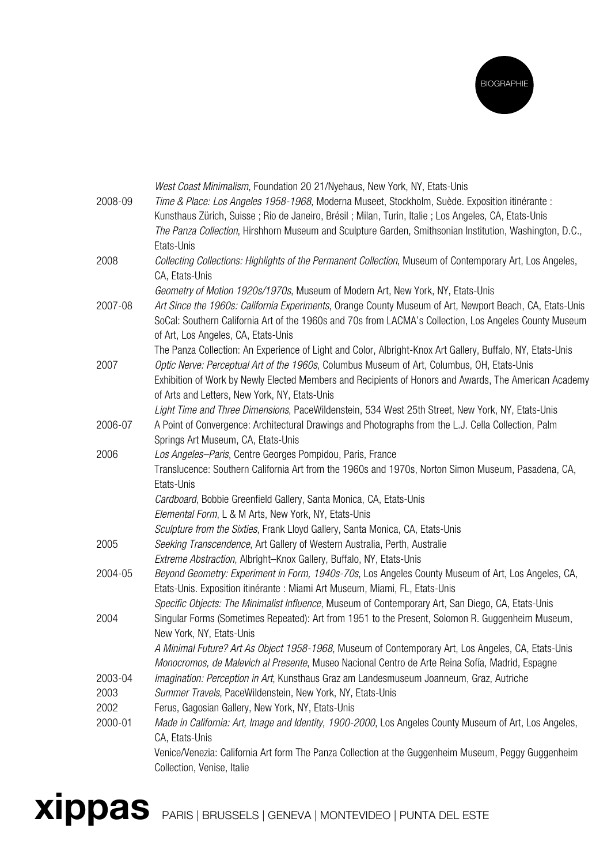

|         | West Coast Minimalism, Foundation 20 21/Nyehaus, New York, NY, Etats-Unis                                  |
|---------|------------------------------------------------------------------------------------------------------------|
| 2008-09 | Time & Place: Los Angeles 1958-1968, Moderna Museet, Stockholm, Suède. Exposition itinérante :             |
|         | Kunsthaus Zürich, Suisse; Rio de Janeiro, Brésil; Milan, Turin, Italie; Los Angeles, CA, Etats-Unis        |
|         | The Panza Collection, Hirshhorn Museum and Sculpture Garden, Smithsonian Institution, Washington, D.C.,    |
|         | Etats-Unis                                                                                                 |
| 2008    | Collecting Collections: Highlights of the Permanent Collection, Museum of Contemporary Art, Los Angeles,   |
|         | CA, Etats-Unis                                                                                             |
|         | Geometry of Motion 1920s/1970s, Museum of Modern Art, New York, NY, Etats-Unis                             |
| 2007-08 | Art Since the 1960s: California Experiments, Orange County Museum of Art, Newport Beach, CA, Etats-Unis    |
|         | SoCal: Southern California Art of the 1960s and 70s from LACMA's Collection, Los Angeles County Museum     |
|         | of Art, Los Angeles, CA, Etats-Unis                                                                        |
|         | The Panza Collection: An Experience of Light and Color, Albright-Knox Art Gallery, Buffalo, NY, Etats-Unis |
| 2007    | Optic Nerve: Perceptual Art of the 1960s, Columbus Museum of Art, Columbus, OH, Etats-Unis                 |
|         | Exhibition of Work by Newly Elected Members and Recipients of Honors and Awards, The American Academy      |
|         | of Arts and Letters, New York, NY, Etats-Unis                                                              |
|         | Light Time and Three Dimensions, PaceWildenstein, 534 West 25th Street, New York, NY, Etats-Unis           |
| 2006-07 | A Point of Convergence: Architectural Drawings and Photographs from the L.J. Cella Collection, Palm        |
|         | Springs Art Museum, CA, Etats-Unis                                                                         |
| 2006    | Los Angeles-Paris, Centre Georges Pompidou, Paris, France                                                  |
|         | Translucence: Southern California Art from the 1960s and 1970s, Norton Simon Museum, Pasadena, CA,         |
|         | Etats-Unis                                                                                                 |
|         | Cardboard, Bobbie Greenfield Gallery, Santa Monica, CA, Etats-Unis                                         |
|         | Elemental Form, L & M Arts, New York, NY, Etats-Unis                                                       |
|         | Sculpture from the Sixties, Frank Lloyd Gallery, Santa Monica, CA, Etats-Unis                              |
| 2005    | Seeking Transcendence, Art Gallery of Western Australia, Perth, Australie                                  |
|         | Extreme Abstraction, Albright-Knox Gallery, Buffalo, NY, Etats-Unis                                        |
| 2004-05 | Beyond Geometry: Experiment in Form, 1940s-70s, Los Angeles County Museum of Art, Los Angeles, CA,         |
|         | Etats-Unis. Exposition itinérante : Miami Art Museum, Miami, FL, Etats-Unis                                |
|         | Specific Objects: The Minimalist Influence, Museum of Contemporary Art, San Diego, CA, Etats-Unis          |
| 2004    | Singular Forms (Sometimes Repeated): Art from 1951 to the Present, Solomon R. Guggenheim Museum,           |
|         | New York, NY, Etats-Unis                                                                                   |
|         | A Minimal Future? Art As Object 1958-1968, Museum of Contemporary Art, Los Angeles, CA, Etats-Unis         |
|         | Monocromos, de Malevich al Presente, Museo Nacional Centro de Arte Reina Sofía, Madrid, Espagne            |
| 2003-04 | Imagination: Perception in Art, Kunsthaus Graz am Landesmuseum Joanneum, Graz, Autriche                    |
| 2003    | Summer Travels, PaceWildenstein, New York, NY, Etats-Unis                                                  |
| 2002    | Ferus, Gagosian Gallery, New York, NY, Etats-Unis                                                          |
| 2000-01 | Made in California: Art, Image and Identity, 1900-2000, Los Angeles County Museum of Art, Los Angeles,     |
|         | CA, Etats-Unis                                                                                             |
|         | Venice/Venezia: California Art form The Panza Collection at the Guggenheim Museum, Peggy Guggenheim        |
|         | Collection, Venise, Italie                                                                                 |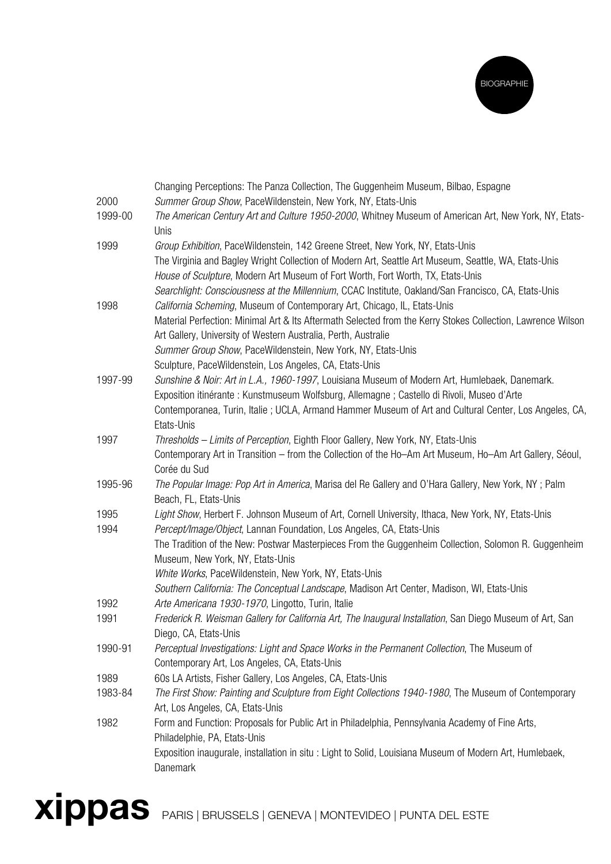

|         | Changing Perceptions: The Panza Collection, The Guggenheim Museum, Bilbao, Espagne                                                       |
|---------|------------------------------------------------------------------------------------------------------------------------------------------|
| 2000    | Summer Group Show, PaceWildenstein, New York, NY, Etats-Unis                                                                             |
| 1999-00 | The American Century Art and Culture 1950-2000, Whitney Museum of American Art, New York, NY, Etats-<br>Unis                             |
| 1999    | Group Exhibition, PaceWildenstein, 142 Greene Street, New York, NY, Etats-Unis                                                           |
|         | The Virginia and Bagley Wright Collection of Modern Art, Seattle Art Museum, Seattle, WA, Etats-Unis                                     |
|         | House of Sculpture, Modern Art Museum of Fort Worth, Fort Worth, TX, Etats-Unis                                                          |
|         | Searchlight: Consciousness at the Millennium, CCAC Institute, Oakland/San Francisco, CA, Etats-Unis                                      |
| 1998    | California Scheming, Museum of Contemporary Art, Chicago, IL, Etats-Unis                                                                 |
|         | Material Perfection: Minimal Art & Its Aftermath Selected from the Kerry Stokes Collection, Lawrence Wilson                              |
|         | Art Gallery, University of Western Australia, Perth, Australie                                                                           |
|         | Summer Group Show, PaceWildenstein, New York, NY, Etats-Unis                                                                             |
|         | Sculpture, PaceWildenstein, Los Angeles, CA, Etats-Unis                                                                                  |
| 1997-99 | Sunshine & Noir: Art in L.A., 1960-1997, Louisiana Museum of Modern Art, Humlebaek, Danemark.                                            |
|         | Exposition itinérante : Kunstmuseum Wolfsburg, Allemagne ; Castello di Rivoli, Museo d'Arte                                              |
|         | Contemporanea, Turin, Italie; UCLA, Armand Hammer Museum of Art and Cultural Center, Los Angeles, CA,                                    |
|         | Etats-Unis                                                                                                                               |
| 1997    | Thresholds - Limits of Perception, Eighth Floor Gallery, New York, NY, Etats-Unis                                                        |
|         | Contemporary Art in Transition – from the Collection of the Ho-Am Art Museum, Ho-Am Art Gallery, Séoul,                                  |
|         | Corée du Sud                                                                                                                             |
| 1995-96 | The Popular Image: Pop Art in America, Marisa del Re Gallery and O'Hara Gallery, New York, NY; Palm<br>Beach, FL, Etats-Unis             |
| 1995    | Light Show, Herbert F. Johnson Museum of Art, Cornell University, Ithaca, New York, NY, Etats-Unis                                       |
| 1994    | Percept/Image/Object, Lannan Foundation, Los Angeles, CA, Etats-Unis                                                                     |
|         | The Tradition of the New: Postwar Masterpieces From the Guggenheim Collection, Solomon R. Guggenheim<br>Museum, New York, NY, Etats-Unis |
|         | White Works, PaceWildenstein, New York, NY, Etats-Unis                                                                                   |
|         | Southern California: The Conceptual Landscape, Madison Art Center, Madison, WI, Etats-Unis                                               |
| 1992    | Arte Americana 1930-1970, Lingotto, Turin, Italie                                                                                        |
| 1991    | Frederick R. Weisman Gallery for California Art, The Inaugural Installation, San Diego Museum of Art, San                                |
|         | Diego, CA, Etats-Unis                                                                                                                    |
| 1990-91 | Perceptual Investigations: Light and Space Works in the Permanent Collection, The Museum of                                              |
|         | Contemporary Art, Los Angeles, CA, Etats-Unis                                                                                            |
| 1989    | 60s LA Artists, Fisher Gallery, Los Angeles, CA, Etats-Unis                                                                              |
| 1983-84 | The First Show: Painting and Sculpture from Eight Collections 1940-1980, The Museum of Contemporary<br>Art, Los Angeles, CA, Etats-Unis  |
| 1982    | Form and Function: Proposals for Public Art in Philadelphia, Pennsylvania Academy of Fine Arts,                                          |
|         | Philadelphie, PA, Etats-Unis                                                                                                             |
|         | Exposition inaugurale, installation in situ: Light to Solid, Louisiana Museum of Modern Art, Humlebaek,<br>Danemark                      |
|         |                                                                                                                                          |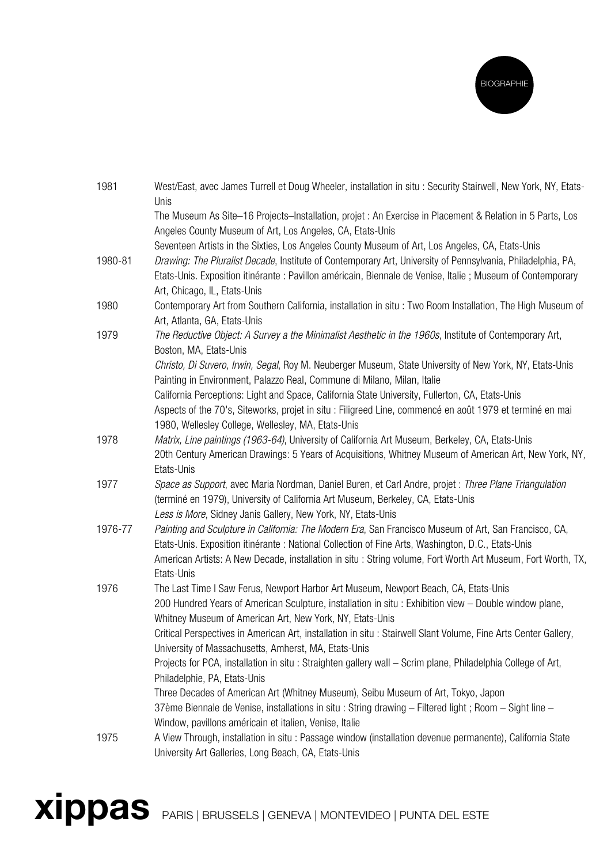

| 1981    | West/East, avec James Turrell et Doug Wheeler, installation in situ: Security Stairwell, New York, NY, Etats-<br>Unis                                                                                                                                      |
|---------|------------------------------------------------------------------------------------------------------------------------------------------------------------------------------------------------------------------------------------------------------------|
|         | The Museum As Site-16 Projects-Installation, projet : An Exercise in Placement & Relation in 5 Parts, Los<br>Angeles County Museum of Art, Los Angeles, CA, Etats-Unis                                                                                     |
|         | Seventeen Artists in the Sixties, Los Angeles County Museum of Art, Los Angeles, CA, Etats-Unis                                                                                                                                                            |
| 1980-81 | Drawing: The Pluralist Decade, Institute of Contemporary Art, University of Pennsylvania, Philadelphia, PA,<br>Etats-Unis. Exposition itinérante : Pavillon américain, Biennale de Venise, Italie ; Museum of Contemporary<br>Art, Chicago, IL, Etats-Unis |
| 1980    | Contemporary Art from Southern California, installation in situ : Two Room Installation, The High Museum of<br>Art, Atlanta, GA, Etats-Unis                                                                                                                |
| 1979    | The Reductive Object: A Survey a the Minimalist Aesthetic in the 1960s, Institute of Contemporary Art,<br>Boston, MA, Etats-Unis                                                                                                                           |
|         | Christo, Di Suvero, Irwin, Segal, Roy M. Neuberger Museum, State University of New York, NY, Etats-Unis<br>Painting in Environment, Palazzo Real, Commune di Milano, Milan, Italie                                                                         |
|         | California Perceptions: Light and Space, California State University, Fullerton, CA, Etats-Unis                                                                                                                                                            |
|         | Aspects of the 70's, Siteworks, projet in situ : Filigreed Line, commencé en août 1979 et terminé en mai<br>1980, Wellesley College, Wellesley, MA, Etats-Unis                                                                                             |
| 1978    | Matrix, Line paintings (1963-64), University of California Art Museum, Berkeley, CA, Etats-Unis                                                                                                                                                            |
|         | 20th Century American Drawings: 5 Years of Acquisitions, Whitney Museum of American Art, New York, NY,                                                                                                                                                     |
|         | Etats-Unis                                                                                                                                                                                                                                                 |
| 1977    | Space as Support, avec Maria Nordman, Daniel Buren, et Carl Andre, projet : Three Plane Triangulation<br>(terminé en 1979), University of California Art Museum, Berkeley, CA, Etats-Unis<br>Less is More, Sidney Janis Gallery, New York, NY, Etats-Unis  |
| 1976-77 | Painting and Sculpture in California: The Modern Era, San Francisco Museum of Art, San Francisco, CA,                                                                                                                                                      |
|         | Etats-Unis. Exposition itinérante : National Collection of Fine Arts, Washington, D.C., Etats-Unis<br>American Artists: A New Decade, installation in situ: String volume, Fort Worth Art Museum, Fort Worth, TX,                                          |
|         | Etats-Unis                                                                                                                                                                                                                                                 |
| 1976    | The Last Time I Saw Ferus, Newport Harbor Art Museum, Newport Beach, CA, Etats-Unis                                                                                                                                                                        |
|         | 200 Hundred Years of American Sculpture, installation in situ: Exhibition view - Double window plane,<br>Whitney Museum of American Art, New York, NY, Etats-Unis                                                                                          |
|         | Critical Perspectives in American Art, installation in situ : Stairwell Slant Volume, Fine Arts Center Gallery,<br>University of Massachusetts, Amherst, MA, Etats-Unis                                                                                    |
|         | Projects for PCA, installation in situ : Straighten gallery wall - Scrim plane, Philadelphia College of Art,                                                                                                                                               |
|         | Philadelphie, PA, Etats-Unis                                                                                                                                                                                                                               |
|         | Three Decades of American Art (Whitney Museum), Seibu Museum of Art, Tokyo, Japon                                                                                                                                                                          |
|         | 37ème Biennale de Venise, installations in situ : String drawing - Filtered light ; Room - Sight line -<br>Window, pavillons américain et italien, Venise, Italie                                                                                          |
| 1975    | A View Through, installation in situ : Passage window (installation devenue permanente), California State<br>University Art Galleries, Long Beach, CA, Etats-Unis                                                                                          |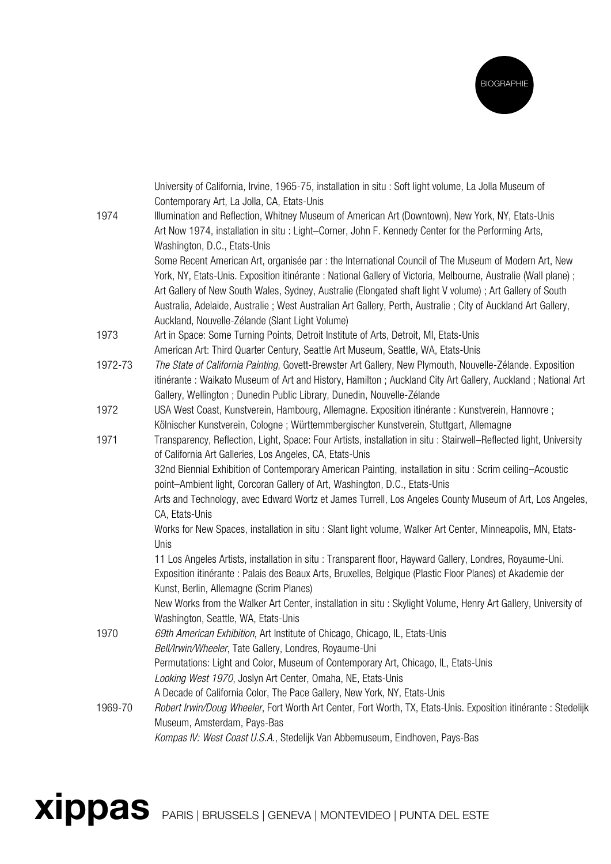

|         | University of California, Irvine, 1965-75, installation in situ : Soft light volume, La Jolla Museum of<br>Contemporary Art, La Jolla, CA, Etats-Unis |
|---------|-------------------------------------------------------------------------------------------------------------------------------------------------------|
| 1974    | Illumination and Reflection, Whitney Museum of American Art (Downtown), New York, NY, Etats-Unis                                                      |
|         | Art Now 1974, installation in situ: Light-Corner, John F. Kennedy Center for the Performing Arts,                                                     |
|         | Washington, D.C., Etats-Unis                                                                                                                          |
|         | Some Recent American Art, organisée par : the International Council of The Museum of Modern Art, New                                                  |
|         | York, NY, Etats-Unis. Exposition itinérante : National Gallery of Victoria, Melbourne, Australie (Wall plane);                                        |
|         | Art Gallery of New South Wales, Sydney, Australie (Elongated shaft light V volume) ; Art Gallery of South                                             |
|         | Australia, Adelaide, Australie; West Australian Art Gallery, Perth, Australie; City of Auckland Art Gallery,                                          |
| 1973    | Auckland, Nouvelle-Zélande (Slant Light Volume)<br>Art in Space: Some Turning Points, Detroit Institute of Arts, Detroit, MI, Etats-Unis              |
|         | American Art: Third Quarter Century, Seattle Art Museum, Seattle, WA, Etats-Unis                                                                      |
| 1972-73 | The State of California Painting, Govett-Brewster Art Gallery, New Plymouth, Nouvelle-Zélande. Exposition                                             |
|         | itinérante : Waikato Museum of Art and History, Hamilton ; Auckland City Art Gallery, Auckland ; National Art                                         |
|         | Gallery, Wellington ; Dunedin Public Library, Dunedin, Nouvelle-Zélande                                                                               |
| 1972    | USA West Coast, Kunstverein, Hambourg, Allemagne. Exposition itinérante : Kunstverein, Hannovre ;                                                     |
|         | Kölnischer Kunstverein, Cologne; Württemmbergischer Kunstverein, Stuttgart, Allemagne                                                                 |
| 1971    | Transparency, Reflection, Light, Space: Four Artists, installation in situ: Stairwell–Reflected light, University                                     |
|         | of California Art Galleries, Los Angeles, CA, Etats-Unis                                                                                              |
|         | 32nd Biennial Exhibition of Contemporary American Painting, installation in situ: Scrim ceiling-Acoustic                                              |
|         | point-Ambient light, Corcoran Gallery of Art, Washington, D.C., Etats-Unis                                                                            |
|         | Arts and Technology, avec Edward Wortz et James Turrell, Los Angeles County Museum of Art, Los Angeles,                                               |
|         | CA, Etats-Unis                                                                                                                                        |
|         | Works for New Spaces, installation in situ: Slant light volume, Walker Art Center, Minneapolis, MN, Etats-                                            |
|         | Unis                                                                                                                                                  |
|         | 11 Los Angeles Artists, installation in situ: Transparent floor, Hayward Gallery, Londres, Royaume-Uni.                                               |
|         | Exposition itinérante : Palais des Beaux Arts, Bruxelles, Belgique (Plastic Floor Planes) et Akademie der<br>Kunst, Berlin, Allemagne (Scrim Planes)  |
|         | New Works from the Walker Art Center, installation in situ: Skylight Volume, Henry Art Gallery, University of                                         |
|         | Washington, Seattle, WA, Etats-Unis                                                                                                                   |
| 1970    | 69th American Exhibition, Art Institute of Chicago, Chicago, IL, Etats-Unis                                                                           |
|         | Bell/Irwin/Wheeler, Tate Gallery, Londres, Royaume-Uni                                                                                                |
|         | Permutations: Light and Color, Museum of Contemporary Art, Chicago, IL, Etats-Unis                                                                    |
|         | Looking West 1970, Joslyn Art Center, Omaha, NE, Etats-Unis                                                                                           |
|         | A Decade of California Color, The Pace Gallery, New York, NY, Etats-Unis                                                                              |
| 1969-70 | Robert Irwin/Doug Wheeler, Fort Worth Art Center, Fort Worth, TX, Etats-Unis. Exposition itinérante : Stedelijk                                       |
|         | Museum, Amsterdam, Pays-Bas                                                                                                                           |
|         | Kompas IV: West Coast U.S.A., Stedelijk Van Abbemuseum, Eindhoven, Pays-Bas                                                                           |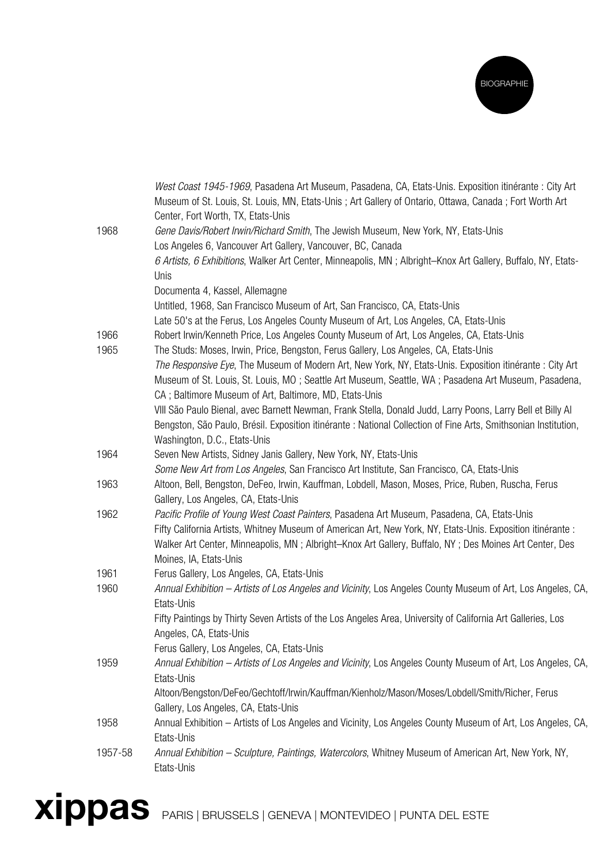

|         | West Coast 1945-1969, Pasadena Art Museum, Pasadena, CA, Etats-Unis. Exposition itinérante : City Art<br>Museum of St. Louis, St. Louis, MN, Etats-Unis; Art Gallery of Ontario, Ottawa, Canada; Fort Worth Art<br>Center, Fort Worth, TX, Etats-Unis |
|---------|-------------------------------------------------------------------------------------------------------------------------------------------------------------------------------------------------------------------------------------------------------|
| 1968    | Gene Davis/Robert Irwin/Richard Smith, The Jewish Museum, New York, NY, Etats-Unis<br>Los Angeles 6, Vancouver Art Gallery, Vancouver, BC, Canada                                                                                                     |
|         | 6 Artists, 6 Exhibitions, Walker Art Center, Minneapolis, MN; Albright-Knox Art Gallery, Buffalo, NY, Etats-<br>Unis                                                                                                                                  |
|         | Documenta 4, Kassel, Allemagne                                                                                                                                                                                                                        |
|         | Untitled, 1968, San Francisco Museum of Art, San Francisco, CA, Etats-Unis                                                                                                                                                                            |
|         | Late 50's at the Ferus, Los Angeles County Museum of Art, Los Angeles, CA, Etats-Unis                                                                                                                                                                 |
| 1966    | Robert Irwin/Kenneth Price, Los Angeles County Museum of Art, Los Angeles, CA, Etats-Unis                                                                                                                                                             |
| 1965    | The Studs: Moses, Irwin, Price, Bengston, Ferus Gallery, Los Angeles, CA, Etats-Unis                                                                                                                                                                  |
|         | The Responsive Eye, The Museum of Modern Art, New York, NY, Etats-Unis. Exposition itinérante : City Art                                                                                                                                              |
|         | Museum of St. Louis, St. Louis, MO; Seattle Art Museum, Seattle, WA; Pasadena Art Museum, Pasadena,                                                                                                                                                   |
|         | CA; Baltimore Museum of Art, Baltimore, MD, Etats-Unis                                                                                                                                                                                                |
|         | VIII São Paulo Bienal, avec Barnett Newman, Frank Stella, Donald Judd, Larry Poons, Larry Bell et Billy Al                                                                                                                                            |
|         | Bengston, São Paulo, Brésil. Exposition itinérante : National Collection of Fine Arts, Smithsonian Institution,                                                                                                                                       |
|         | Washington, D.C., Etats-Unis                                                                                                                                                                                                                          |
| 1964    | Seven New Artists, Sidney Janis Gallery, New York, NY, Etats-Unis                                                                                                                                                                                     |
|         | Some New Art from Los Angeles, San Francisco Art Institute, San Francisco, CA, Etats-Unis                                                                                                                                                             |
| 1963    | Altoon, Bell, Bengston, DeFeo, Irwin, Kauffman, Lobdell, Mason, Moses, Price, Ruben, Ruscha, Ferus<br>Gallery, Los Angeles, CA, Etats-Unis                                                                                                            |
| 1962    | Pacific Profile of Young West Coast Painters, Pasadena Art Museum, Pasadena, CA, Etats-Unis                                                                                                                                                           |
|         | Fifty California Artists, Whitney Museum of American Art, New York, NY, Etats-Unis. Exposition itinérante :                                                                                                                                           |
|         | Walker Art Center, Minneapolis, MN; Albright–Knox Art Gallery, Buffalo, NY; Des Moines Art Center, Des<br>Moines, IA, Etats-Unis                                                                                                                      |
| 1961    | Ferus Gallery, Los Angeles, CA, Etats-Unis                                                                                                                                                                                                            |
| 1960    | Annual Exhibition – Artists of Los Angeles and Vicinity, Los Angeles County Museum of Art, Los Angeles, CA,                                                                                                                                           |
|         | Etats-Unis                                                                                                                                                                                                                                            |
|         | Fifty Paintings by Thirty Seven Artists of the Los Angeles Area, University of California Art Galleries, Los                                                                                                                                          |
|         | Angeles, CA, Etats-Unis                                                                                                                                                                                                                               |
|         | Ferus Gallery, Los Angeles, CA, Etats-Unis                                                                                                                                                                                                            |
| 1959    | Annual Exhibition - Artists of Los Angeles and Vicinity, Los Angeles County Museum of Art, Los Angeles, CA,                                                                                                                                           |
|         | Etats-Unis                                                                                                                                                                                                                                            |
|         | Altoon/Bengston/DeFeo/Gechtoff/Irwin/Kauffman/Kienholz/Mason/Moses/Lobdell/Smith/Richer, Ferus                                                                                                                                                        |
| 1958    | Gallery, Los Angeles, CA, Etats-Unis<br>Annual Exhibition - Artists of Los Angeles and Vicinity, Los Angeles County Museum of Art, Los Angeles, CA,                                                                                                   |
|         | Etats-Unis                                                                                                                                                                                                                                            |
| 1957-58 | Annual Exhibition - Sculpture, Paintings, Watercolors, Whitney Museum of American Art, New York, NY,                                                                                                                                                  |
|         | Etats-Unis                                                                                                                                                                                                                                            |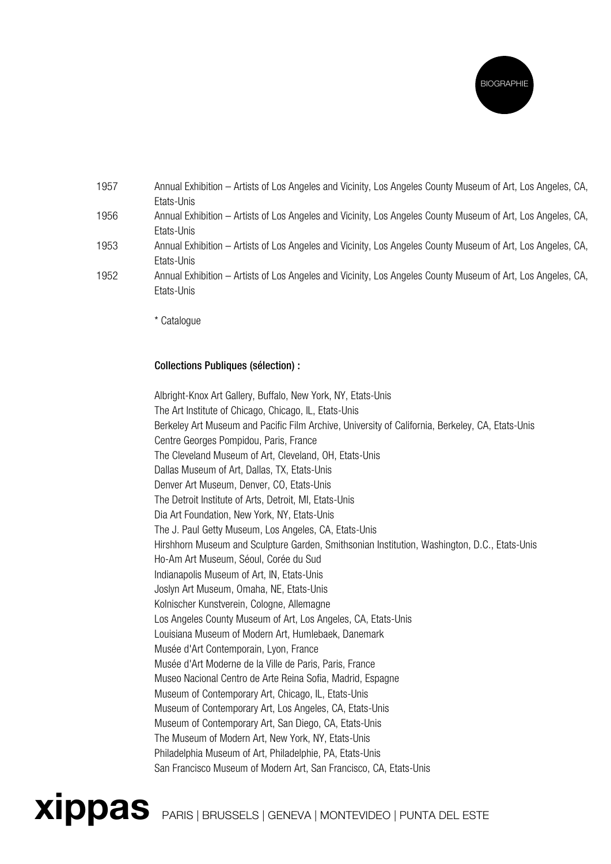

| 1957 | Annual Exhibition – Artists of Los Angeles and Vicinity, Los Angeles County Museum of Art, Los Angeles, CA, |
|------|-------------------------------------------------------------------------------------------------------------|
|      | Etats-Unis                                                                                                  |
| 1956 | Annual Exhibition – Artists of Los Angeles and Vicinity, Los Angeles County Museum of Art, Los Angeles, CA, |
|      | Etats-Unis                                                                                                  |
| 1953 | Annual Exhibition – Artists of Los Angeles and Vicinity, Los Angeles County Museum of Art, Los Angeles, CA, |
|      | Etats-Unis                                                                                                  |
| 1952 | Annual Exhibition – Artists of Los Angeles and Vicinity, Los Angeles County Museum of Art, Los Angeles, CA, |
|      | Ftats-Unis                                                                                                  |

\* Catalogue

## Collections Publiques (sélection) :

Albright-Knox Art Gallery, Buffalo, New York, NY, Etats-Unis The Art Institute of Chicago, Chicago, IL, Etats-Unis Berkeley Art Museum and Pacific Film Archive, University of California, Berkeley, CA, Etats-Unis Centre Georges Pompidou, Paris, France The Cleveland Museum of Art, Cleveland, OH, Etats-Unis Dallas Museum of Art, Dallas, TX, Etats-Unis Denver Art Museum, Denver, CO, Etats-Unis The Detroit Institute of Arts, Detroit, MI, Etats-Unis Dia Art Foundation, New York, NY, Etats-Unis The J. Paul Getty Museum, Los Angeles, CA, Etats-Unis Hirshhorn Museum and Sculpture Garden, Smithsonian Institution, Washington, D.C., Etats-Unis Ho-Am Art Museum, Séoul, Corée du Sud Indianapolis Museum of Art, IN, Etats-Unis Joslyn Art Museum, Omaha, NE, Etats-Unis Kolnischer Kunstverein, Cologne, Allemagne Los Angeles County Museum of Art, Los Angeles, CA, Etats-Unis Louisiana Museum of Modern Art, Humlebaek, Danemark Musée d'Art Contemporain, Lyon, France Musée d'Art Moderne de la Ville de Paris, Paris, France Museo Nacional Centro de Arte Reina Sofia, Madrid, Espagne Museum of Contemporary Art, Chicago, IL, Etats-Unis Museum of Contemporary Art, Los Angeles, CA, Etats-Unis Museum of Contemporary Art, San Diego, CA, Etats-Unis The Museum of Modern Art, New York, NY, Etats-Unis Philadelphia Museum of Art, Philadelphie, PA, Etats-Unis San Francisco Museum of Modern Art, San Francisco, CA, Etats-Unis